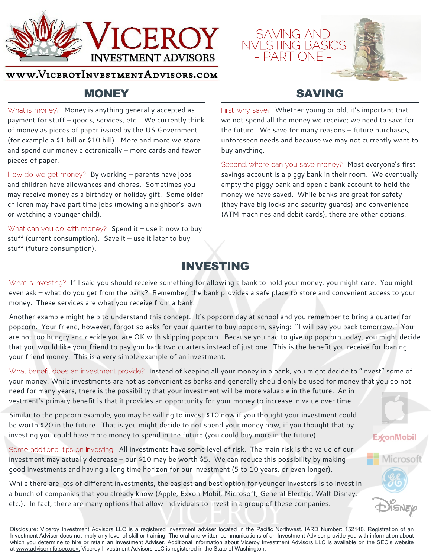

#### WWW.VICEROYINVESTMENTADVISORS.COM

### **MONEY**

What is money? Money is anything generally accepted as payment for stuff – goods, services, etc. We currently think of money as pieces of paper issued by the US Government (for example a \$1 bill or \$10 bill). More and more we store and spend our money electronically – more cards and fewer pieces of paper.

How do we get money? By working  $-$  parents have jobs and children have allowances and chores. Sometimes you may receive money as a birthday or holiday gift. Some older children may have part time jobs (mowing a neighbor's lawn or watching a younger child).

What can you do with money? Spend it – use it now to buy stuff (current consumption). Save it  $-$  use it later to buy stuff (future consumption).

### **SAVING**

**SAVING AND INVESTING BASIC** 

– PARTI

First, why save? Whether young or old, it's important that we not spend all the money we receive; we need to save for the future. We save for many reasons – future purchases, unforeseen needs and because we may not currently want to buy anything.

Second, where can you save money? Most everyone's first savings account is a piggy bank in their room. We eventually empty the piggy bank and open a bank account to hold the money we have saved. While banks are great for safety (they have big locks and security guards) and convenience (ATM machines and debit cards), there are other options.

**ExconMobil** 

Microsoft

## **INVESTING**

What is investing? If I said you should receive something for allowing a bank to hold your money, you might care. You might even ask – what do you get from the bank? Remember, the bank provides a safe place to store and convenient access to your money. These services are what you receive from a bank.

Another example might help to understand this concept. It's popcorn day at school and you remember to bring a quarter for popcorn. Your friend, however, forgot so asks for your quarter to buy popcorn, saying: "I will pay you back tomorrow." You are not too hungry and decide you are OK with skipping popcorn. Because you had to give up popcorn today, you might decide that you would like your friend to pay you back two quarters instead of just one. This is the benefit you receive for loaning your friend money. This is a very simple example of an investment.

What benefit does an investment provide? Instead of keeping all your money in a bank, you might decide to "invest" some of your money. While investments are not as convenient as banks and generally should only be used for money that you do not need for many years, there is the possibility that your investment will be more valuable in the future. An investment's primary benefit is that it provides an opportunity for your money to increase in value over time.

Similar to the popcorn example, you may be willing to invest \$10 now if you thought your investment could be worth \$20 in the future. That is you might decide to not spend your money now, if you thought that by investing you could have more money to spend in the future (you could buy more in the future).

Some additional tips on investing. All investments have some level of risk. The main risk is the value of our investment may actually decrease – our \$10 may be worth \$5. We can reduce this possibility by making good investments and having a long time horizon for our investment (5 to 10 years, or even longer).

While there are lots of different investments, the easiest and best option for younger investors is to invest in a bunch of companies that you already know (Apple, Exxon Mobil, Microsoft, General Electric, Walt Disney, etc.). In fact, there are many options that allow individuals to invest in a group of these companies.

Disclosure: Viceroy Investment Advisors LLC is a registered investment adviser located in the Pacific Northwest. IARD Number: 152140. Registration of an Investment Adviser does not imply any level of skill or training. The oral and written communications of an Investment Adviser provide you with information about which you determine to hire or retain an Investment Adviser. Additional information about Viceroy Investment Advisors LLC is available on the SEC's website at www.adviserinfo.sec.gov. Viceroy Investment Advisors LLC is registered in the State of Washington.